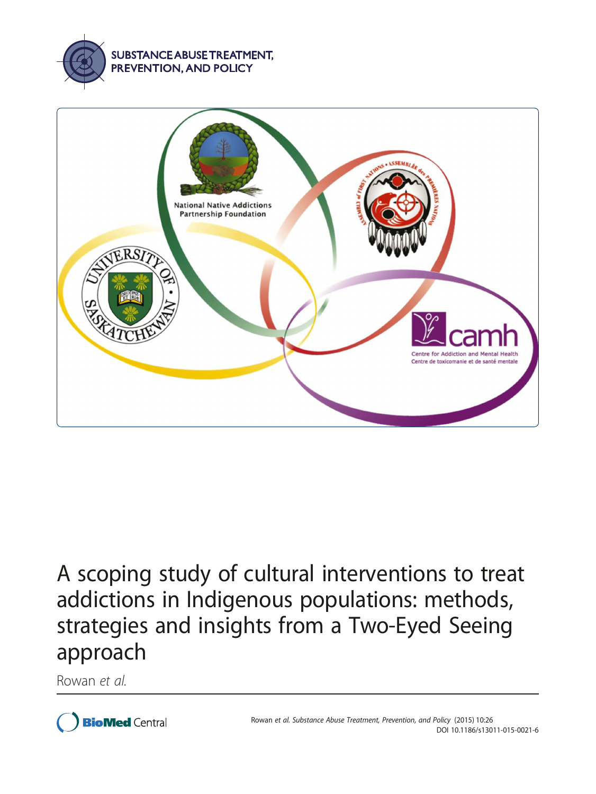



# A scoping study of cultural interventions to treat addictions in Indigenous populations: methods, strategies and insights from a Two-Eyed Seeing approach

Rowan et al.

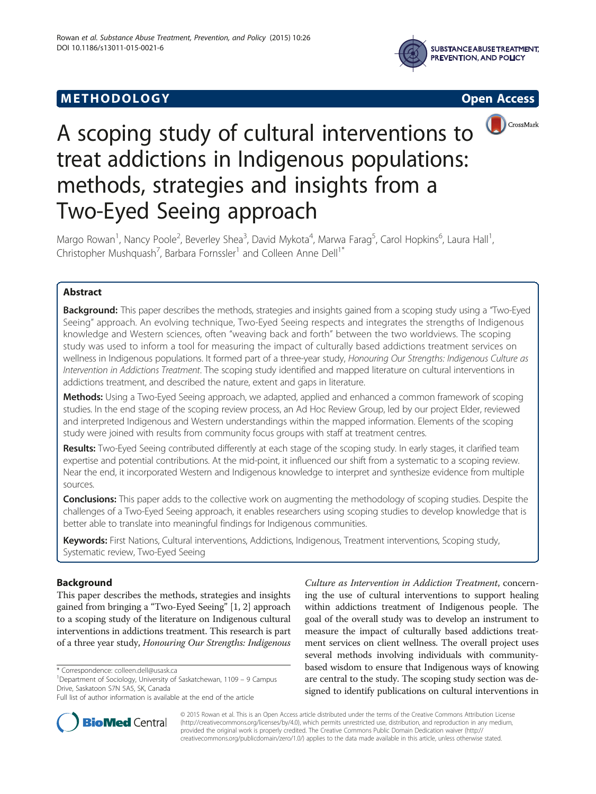## **METHODOLOGY CONSUMING ACCESS**







# A scoping study of cultural interventions to treat addictions in Indigenous populations: methods, strategies and insights from a Two-Eyed Seeing approach

Margo Rowan<sup>1</sup>, Nancy Poole<sup>2</sup>, Beverley Shea<sup>3</sup>, David Mykota<sup>4</sup>, Marwa Farag<sup>5</sup>, Carol Hopkins<sup>6</sup>, Laura Hall<sup>1</sup> , Christopher Mushquash<sup>7</sup>, Barbara Fornssler<sup>1</sup> and Colleen Anne Dell<sup>1\*</sup>

## Abstract

Background: This paper describes the methods, strategies and insights gained from a scoping study using a "Two-Eyed Seeing" approach. An evolving technique, Two-Eyed Seeing respects and integrates the strengths of Indigenous knowledge and Western sciences, often "weaving back and forth" between the two worldviews. The scoping study was used to inform a tool for measuring the impact of culturally based addictions treatment services on wellness in Indigenous populations. It formed part of a three-year study, Honouring Our Strengths: Indigenous Culture as Intervention in Addictions Treatment. The scoping study identified and mapped literature on cultural interventions in addictions treatment, and described the nature, extent and gaps in literature.

Methods: Using a Two-Eyed Seeing approach, we adapted, applied and enhanced a common framework of scoping studies. In the end stage of the scoping review process, an Ad Hoc Review Group, led by our project Elder, reviewed and interpreted Indigenous and Western understandings within the mapped information. Elements of the scoping study were joined with results from community focus groups with staff at treatment centres.

Results: Two-Eyed Seeing contributed differently at each stage of the scoping study. In early stages, it clarified team expertise and potential contributions. At the mid-point, it influenced our shift from a systematic to a scoping review. Near the end, it incorporated Western and Indigenous knowledge to interpret and synthesize evidence from multiple sources.

Conclusions: This paper adds to the collective work on augmenting the methodology of scoping studies. Despite the challenges of a Two-Eyed Seeing approach, it enables researchers using scoping studies to develop knowledge that is better able to translate into meaningful findings for Indigenous communities.

Keywords: First Nations, Cultural interventions, Addictions, Indigenous, Treatment interventions, Scoping study, Systematic review, Two-Eyed Seeing

## Background

This paper describes the methods, strategies and insights gained from bringing a "Two-Eyed Seeing" [\[1](#page-8-0), [2\]](#page-9-0) approach to a scoping study of the literature on Indigenous cultural interventions in addictions treatment. This research is part of a three year study, Honouring Our Strengths: Indigenous

<sup>1</sup>Department of Sociology, University of Saskatchewan, 1109 - 9 Campus Drive, Saskatoon S7N 5A5, SK, Canada

Culture as Intervention in Addiction Treatment, concerning the use of cultural interventions to support healing within addictions treatment of Indigenous people. The goal of the overall study was to develop an instrument to measure the impact of culturally based addictions treatment services on client wellness. The overall project uses several methods involving individuals with communitybased wisdom to ensure that Indigenous ways of knowing are central to the study. The scoping study section was designed to identify publications on cultural interventions in



© 2015 Rowan et al. This is an Open Access article distributed under the terms of the Creative Commons Attribution License [\(http://creativecommons.org/licenses/by/4.0\)](http://creativecommons.org/licenses/by/4.0), which permits unrestricted use, distribution, and reproduction in any medium, provided the original work is properly credited. The Creative Commons Public Domain Dedication waiver [\(http://](http://creativecommons.org/publicdomain/zero/1.0/) [creativecommons.org/publicdomain/zero/1.0/\)](http://creativecommons.org/publicdomain/zero/1.0/) applies to the data made available in this article, unless otherwise stated.

<sup>\*</sup> Correspondence: [colleen.dell@usask.ca](mailto:colleen.dell@usask.ca) <sup>1</sup>

Full list of author information is available at the end of the article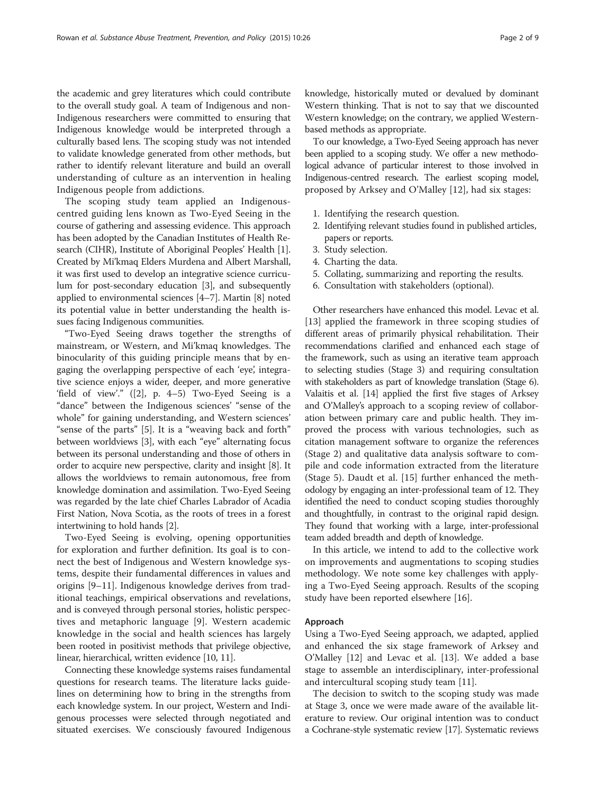the academic and grey literatures which could contribute to the overall study goal. A team of Indigenous and non-Indigenous researchers were committed to ensuring that Indigenous knowledge would be interpreted through a culturally based lens. The scoping study was not intended to validate knowledge generated from other methods, but rather to identify relevant literature and build an overall understanding of culture as an intervention in healing Indigenous people from addictions.

The scoping study team applied an Indigenouscentred guiding lens known as Two-Eyed Seeing in the course of gathering and assessing evidence. This approach has been adopted by the Canadian Institutes of Health Research (CIHR), Institute of Aboriginal Peoples' Health [[1](#page-8-0)]. Created by Mi'kmaq Elders Murdena and Albert Marshall, it was first used to develop an integrative science curriculum for post-secondary education [[3\]](#page-9-0), and subsequently applied to environmental sciences [\[4](#page-9-0)–[7\]](#page-9-0). Martin [[8\]](#page-9-0) noted its potential value in better understanding the health issues facing Indigenous communities.

"Two-Eyed Seeing draws together the strengths of mainstream, or Western, and Mi'kmaq knowledges. The binocularity of this guiding principle means that by engaging the overlapping perspective of each 'eye', integrative science enjoys a wider, deeper, and more generative 'field of view'."  $(2)$ , p. 4–5) Two-Eyed Seeing is a "dance" between the Indigenous sciences' "sense of the whole" for gaining understanding, and Western sciences' "sense of the parts" [\[5](#page-9-0)]. It is a "weaving back and forth" between worldviews [\[3](#page-9-0)], with each "eye" alternating focus between its personal understanding and those of others in order to acquire new perspective, clarity and insight [\[8](#page-9-0)]. It allows the worldviews to remain autonomous, free from knowledge domination and assimilation. Two-Eyed Seeing was regarded by the late chief Charles Labrador of Acadia First Nation, Nova Scotia, as the roots of trees in a forest intertwining to hold hands [[2\]](#page-9-0).

Two-Eyed Seeing is evolving, opening opportunities for exploration and further definition. Its goal is to connect the best of Indigenous and Western knowledge systems, despite their fundamental differences in values and origins [[9](#page-9-0)–[11\]](#page-9-0). Indigenous knowledge derives from traditional teachings, empirical observations and revelations, and is conveyed through personal stories, holistic perspectives and metaphoric language [[9\]](#page-9-0). Western academic knowledge in the social and health sciences has largely been rooted in positivist methods that privilege objective, linear, hierarchical, written evidence [\[10, 11](#page-9-0)].

Connecting these knowledge systems raises fundamental questions for research teams. The literature lacks guidelines on determining how to bring in the strengths from each knowledge system. In our project, Western and Indigenous processes were selected through negotiated and situated exercises. We consciously favoured Indigenous

knowledge, historically muted or devalued by dominant Western thinking. That is not to say that we discounted Western knowledge; on the contrary, we applied Westernbased methods as appropriate.

To our knowledge, a Two-Eyed Seeing approach has never been applied to a scoping study. We offer a new methodological advance of particular interest to those involved in Indigenous-centred research. The earliest scoping model, proposed by Arksey and O'Malley [[12\]](#page-9-0), had six stages:

- 1. Identifying the research question.
- 2. Identifying relevant studies found in published articles, papers or reports.
- 3. Study selection.
- 4. Charting the data.
- 5. Collating, summarizing and reporting the results.
- 6. Consultation with stakeholders (optional).

Other researchers have enhanced this model. Levac et al. [[13\]](#page-9-0) applied the framework in three scoping studies of different areas of primarily physical rehabilitation. Their recommendations clarified and enhanced each stage of the framework, such as using an iterative team approach to selecting studies (Stage 3) and requiring consultation with stakeholders as part of knowledge translation (Stage 6). Valaitis et al. [[14](#page-9-0)] applied the first five stages of Arksey and O'Malley's approach to a scoping review of collaboration between primary care and public health. They improved the process with various technologies, such as citation management software to organize the references (Stage 2) and qualitative data analysis software to compile and code information extracted from the literature (Stage 5). Daudt et al. [\[15](#page-9-0)] further enhanced the methodology by engaging an inter-professional team of 12. They identified the need to conduct scoping studies thoroughly and thoughtfully, in contrast to the original rapid design. They found that working with a large, inter-professional team added breadth and depth of knowledge.

In this article, we intend to add to the collective work on improvements and augmentations to scoping studies methodology. We note some key challenges with applying a Two-Eyed Seeing approach. Results of the scoping study have been reported elsewhere [[16\]](#page-9-0).

#### Approach

Using a Two-Eyed Seeing approach, we adapted, applied and enhanced the six stage framework of Arksey and O'Malley [[12](#page-9-0)] and Levac et al. [[13\]](#page-9-0). We added a base stage to assemble an interdisciplinary, inter-professional and intercultural scoping study team [\[11](#page-9-0)].

The decision to switch to the scoping study was made at Stage 3, once we were made aware of the available literature to review. Our original intention was to conduct a Cochrane-style systematic review [[17](#page-9-0)]. Systematic reviews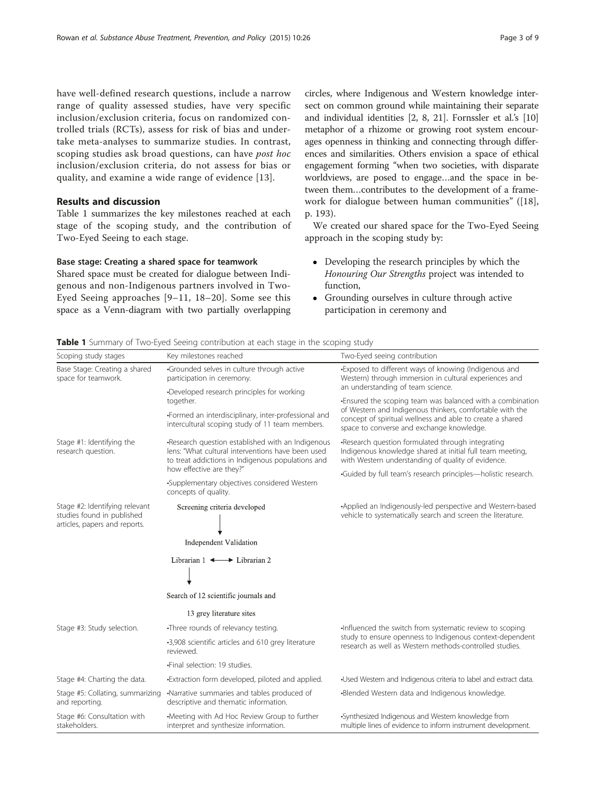have well-defined research questions, include a narrow range of quality assessed studies, have very specific inclusion/exclusion criteria, focus on randomized controlled trials (RCTs), assess for risk of bias and undertake meta-analyses to summarize studies. In contrast, scoping studies ask broad questions, can have post hoc inclusion/exclusion criteria, do not assess for bias or quality, and examine a wide range of evidence [[13](#page-9-0)].

### Results and discussion

Table 1 summarizes the key milestones reached at each stage of the scoping study, and the contribution of Two-Eyed Seeing to each stage.

#### Base stage: Creating a shared space for teamwork

Shared space must be created for dialogue between Indigenous and non-Indigenous partners involved in Two-Eyed Seeing approaches [\[9](#page-9-0)–[11, 18](#page-9-0)–[20](#page-9-0)]. Some see this space as a Venn-diagram with two partially overlapping circles, where Indigenous and Western knowledge intersect on common ground while maintaining their separate and individual identities [\[2, 8, 21\]](#page-9-0). Fornssler et al.'s [[10](#page-9-0)] metaphor of a rhizome or growing root system encourages openness in thinking and connecting through differences and similarities. Others envision a space of ethical engagement forming "when two societies, with disparate worldviews, are posed to engage…and the space in between them…contributes to the development of a framework for dialogue between human communities" ([\[18](#page-9-0)], p. 193).

We created our shared space for the Two-Eyed Seeing approach in the scoping study by:

- Developing the research principles by which the Honouring Our Strengths project was intended to function,
- Grounding ourselves in culture through active participation in ceremony and

Table 1 Summary of Two-Eyed Seeing contribution at each stage in the scoping study

| Scoping study stages                                                                          | Key milestones reached                                                                                                                                                                  | Two-Eyed seeing contribution                                                                                                                                                                                                                                          |
|-----------------------------------------------------------------------------------------------|-----------------------------------------------------------------------------------------------------------------------------------------------------------------------------------------|-----------------------------------------------------------------------------------------------------------------------------------------------------------------------------------------------------------------------------------------------------------------------|
| Base Stage: Creating a shared<br>space for teamwork.                                          | Grounded selves in culture through active<br>participation in ceremony.                                                                                                                 | -Exposed to different ways of knowing (Indigenous and<br>Western) through immersion in cultural experiences and                                                                                                                                                       |
|                                                                                               | Developed research principles for working<br>together.                                                                                                                                  | an understanding of team science.<br>. Ensured the scoping team was balanced with a combination<br>of Western and Indigenous thinkers, comfortable with the<br>concept of spiritual wellness and able to create a shared<br>space to converse and exchange knowledge. |
|                                                                                               | •Formed an interdisciplinary, inter-professional and<br>intercultural scoping study of 11 team members.                                                                                 |                                                                                                                                                                                                                                                                       |
| Stage #1: Identifying the<br>research question.                                               | -Research question established with an Indigenous<br>lens: "What cultural interventions have been used<br>to treat addictions in Indigenous populations and<br>how effective are they?" | -Research question formulated through integrating<br>Indigenous knowledge shared at initial full team meeting,<br>with Western understanding of quality of evidence.                                                                                                  |
|                                                                                               |                                                                                                                                                                                         | ·Guided by full team's research principles-holistic research.                                                                                                                                                                                                         |
|                                                                                               | •Supplementary objectives considered Western<br>concepts of quality.                                                                                                                    |                                                                                                                                                                                                                                                                       |
| Stage #2: Identifying relevant<br>studies found in published<br>articles, papers and reports. | Screening criteria developed                                                                                                                                                            | •Applied an Indigenously-led perspective and Western-based<br>vehicle to systematically search and screen the literature.                                                                                                                                             |
|                                                                                               | Independent Validation                                                                                                                                                                  |                                                                                                                                                                                                                                                                       |
|                                                                                               | Librarian $1 \leftrightarrow$ Librarian 2                                                                                                                                               |                                                                                                                                                                                                                                                                       |
|                                                                                               | Search of 12 scientific journals and                                                                                                                                                    |                                                                                                                                                                                                                                                                       |
|                                                                                               | 13 grey literature sites                                                                                                                                                                |                                                                                                                                                                                                                                                                       |
| Stage #3: Study selection.                                                                    | •Three rounds of relevancy testing.                                                                                                                                                     | Influenced the switch from systematic review to scoping<br>study to ensure openness to Indigenous context-dependent<br>research as well as Western methods-controlled studies.                                                                                        |
|                                                                                               | -3,908 scientific articles and 610 grey literature<br>reviewed.                                                                                                                         |                                                                                                                                                                                                                                                                       |
|                                                                                               | ·Final selection: 19 studies.                                                                                                                                                           |                                                                                                                                                                                                                                                                       |
| Stage #4: Charting the data.                                                                  | -Extraction form developed, piloted and applied.                                                                                                                                        | •Used Western and Indigenous criteria to label and extract data.                                                                                                                                                                                                      |
| Stage #5: Collating, summarizing<br>and reporting.                                            | •Narrative summaries and tables produced of<br>descriptive and thematic information.                                                                                                    | -Blended Western data and Indigenous knowledge.                                                                                                                                                                                                                       |
| Stage #6: Consultation with<br>stakeholders.                                                  | •Meeting with Ad Hoc Review Group to further<br>interpret and synthesize information.                                                                                                   | •Synthesized Indigenous and Western knowledge from<br>multiple lines of evidence to inform instrument development.                                                                                                                                                    |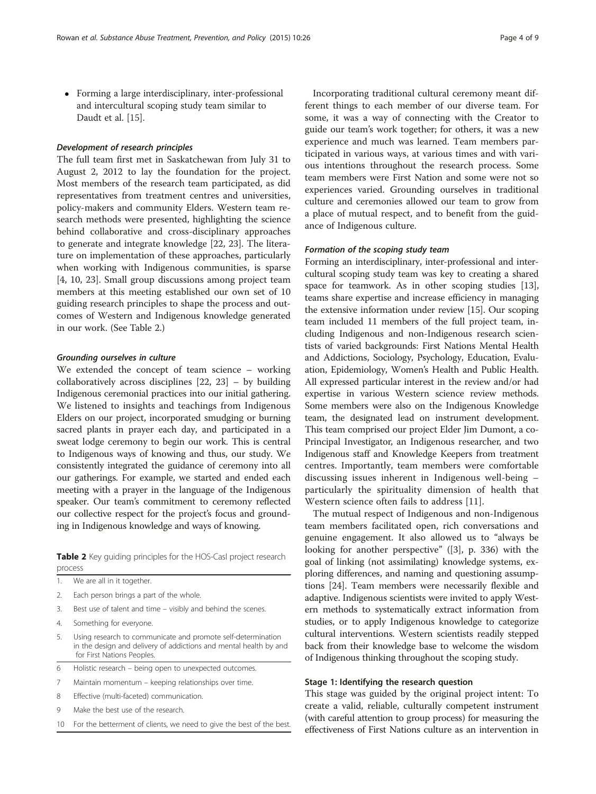Forming a large interdisciplinary, inter-professional and intercultural scoping study team similar to Daudt et al. [[15\]](#page-9-0).

#### Development of research principles

The full team first met in Saskatchewan from July 31 to August 2, 2012 to lay the foundation for the project. Most members of the research team participated, as did representatives from treatment centres and universities, policy-makers and community Elders. Western team research methods were presented, highlighting the science behind collaborative and cross-disciplinary approaches to generate and integrate knowledge [\[22](#page-9-0), [23](#page-9-0)]. The literature on implementation of these approaches, particularly when working with Indigenous communities, is sparse [[4, 10](#page-9-0), [23\]](#page-9-0). Small group discussions among project team members at this meeting established our own set of 10 guiding research principles to shape the process and outcomes of Western and Indigenous knowledge generated in our work. (See Table 2.)

#### Grounding ourselves in culture

We extended the concept of team science – working collaboratively across disciplines [\[22](#page-9-0), [23](#page-9-0)] – by building Indigenous ceremonial practices into our initial gathering. We listened to insights and teachings from Indigenous Elders on our project, incorporated smudging or burning sacred plants in prayer each day, and participated in a sweat lodge ceremony to begin our work. This is central to Indigenous ways of knowing and thus, our study. We consistently integrated the guidance of ceremony into all our gatherings. For example, we started and ended each meeting with a prayer in the language of the Indigenous speaker. Our team's commitment to ceremony reflected our collective respect for the project's focus and grounding in Indigenous knowledge and ways of knowing.

Table 2 Key guiding principles for the HOS-CasI project research process

- 1. We are all in it together.
- 2. Each person brings a part of the whole
- 3. Best use of talent and time visibly and behind the scenes.
- 4. Something for everyone.
- 5. Using research to communicate and promote self-determination in the design and delivery of addictions and mental health by and for First Nations Peoples.
- 6 Holistic research being open to unexpected outcomes.
- 7 Maintain momentum keeping relationships over time.
- 8 Effective (multi-faceted) communication.
- 9 Make the best use of the research.
- 10 For the betterment of clients, we need to give the best of the best.

Incorporating traditional cultural ceremony meant different things to each member of our diverse team. For some, it was a way of connecting with the Creator to guide our team's work together; for others, it was a new experience and much was learned. Team members participated in various ways, at various times and with various intentions throughout the research process. Some team members were First Nation and some were not so experiences varied. Grounding ourselves in traditional culture and ceremonies allowed our team to grow from a place of mutual respect, and to benefit from the guidance of Indigenous culture.

#### Formation of the scoping study team

Forming an interdisciplinary, inter-professional and intercultural scoping study team was key to creating a shared space for teamwork. As in other scoping studies [[13](#page-9-0)], teams share expertise and increase efficiency in managing the extensive information under review [\[15\]](#page-9-0). Our scoping team included 11 members of the full project team, including Indigenous and non-Indigenous research scientists of varied backgrounds: First Nations Mental Health and Addictions, Sociology, Psychology, Education, Evaluation, Epidemiology, Women's Health and Public Health. All expressed particular interest in the review and/or had expertise in various Western science review methods. Some members were also on the Indigenous Knowledge team, the designated lead on instrument development. This team comprised our project Elder Jim Dumont, a co-Principal Investigator, an Indigenous researcher, and two Indigenous staff and Knowledge Keepers from treatment centres. Importantly, team members were comfortable discussing issues inherent in Indigenous well-being – particularly the spirituality dimension of health that Western science often fails to address [[11\]](#page-9-0).

The mutual respect of Indigenous and non-Indigenous team members facilitated open, rich conversations and genuine engagement. It also allowed us to "always be looking for another perspective" ([\[3](#page-9-0)], p. 336) with the goal of linking (not assimilating) knowledge systems, exploring differences, and naming and questioning assumptions [[24](#page-9-0)]. Team members were necessarily flexible and adaptive. Indigenous scientists were invited to apply Western methods to systematically extract information from studies, or to apply Indigenous knowledge to categorize cultural interventions. Western scientists readily stepped back from their knowledge base to welcome the wisdom of Indigenous thinking throughout the scoping study.

#### Stage 1: Identifying the research question

This stage was guided by the original project intent: To create a valid, reliable, culturally competent instrument (with careful attention to group process) for measuring the effectiveness of First Nations culture as an intervention in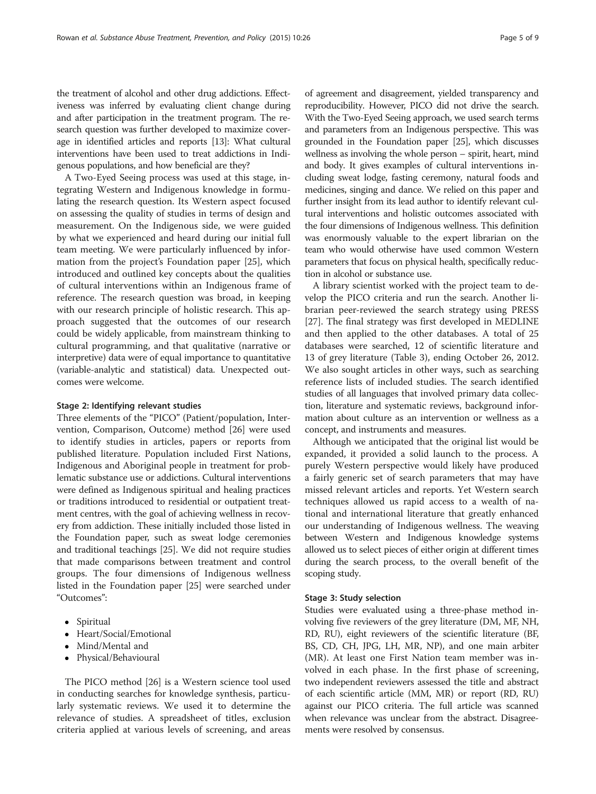the treatment of alcohol and other drug addictions. Effectiveness was inferred by evaluating client change during and after participation in the treatment program. The research question was further developed to maximize coverage in identified articles and reports [[13](#page-9-0)]: What cultural interventions have been used to treat addictions in Indigenous populations, and how beneficial are they?

A Two-Eyed Seeing process was used at this stage, integrating Western and Indigenous knowledge in formulating the research question. Its Western aspect focused on assessing the quality of studies in terms of design and measurement. On the Indigenous side, we were guided by what we experienced and heard during our initial full team meeting. We were particularly influenced by information from the project's Foundation paper [\[25](#page-9-0)], which introduced and outlined key concepts about the qualities of cultural interventions within an Indigenous frame of reference. The research question was broad, in keeping with our research principle of holistic research. This approach suggested that the outcomes of our research could be widely applicable, from mainstream thinking to cultural programming, and that qualitative (narrative or interpretive) data were of equal importance to quantitative (variable-analytic and statistical) data. Unexpected outcomes were welcome.

#### Stage 2: Identifying relevant studies

Three elements of the "PICO" (Patient/population, Intervention, Comparison, Outcome) method [\[26\]](#page-9-0) were used to identify studies in articles, papers or reports from published literature. Population included First Nations, Indigenous and Aboriginal people in treatment for problematic substance use or addictions. Cultural interventions were defined as Indigenous spiritual and healing practices or traditions introduced to residential or outpatient treatment centres, with the goal of achieving wellness in recovery from addiction. These initially included those listed in the Foundation paper, such as sweat lodge ceremonies and traditional teachings [[25\]](#page-9-0). We did not require studies that made comparisons between treatment and control groups. The four dimensions of Indigenous wellness listed in the Foundation paper [[25](#page-9-0)] were searched under "Outcomes":

- Spiritual
- Heart/Social/Emotional
- Mind/Mental and
- Physical/Behavioural

The PICO method [\[26](#page-9-0)] is a Western science tool used in conducting searches for knowledge synthesis, particularly systematic reviews. We used it to determine the relevance of studies. A spreadsheet of titles, exclusion criteria applied at various levels of screening, and areas

of agreement and disagreement, yielded transparency and reproducibility. However, PICO did not drive the search. With the Two-Eyed Seeing approach, we used search terms and parameters from an Indigenous perspective. This was grounded in the Foundation paper [[25](#page-9-0)], which discusses wellness as involving the whole person – spirit, heart, mind and body. It gives examples of cultural interventions including sweat lodge, fasting ceremony, natural foods and medicines, singing and dance. We relied on this paper and further insight from its lead author to identify relevant cultural interventions and holistic outcomes associated with the four dimensions of Indigenous wellness. This definition was enormously valuable to the expert librarian on the team who would otherwise have used common Western parameters that focus on physical health, specifically reduction in alcohol or substance use.

A library scientist worked with the project team to develop the PICO criteria and run the search. Another librarian peer-reviewed the search strategy using PRESS [[27\]](#page-9-0). The final strategy was first developed in MEDLINE and then applied to the other databases. A total of 25 databases were searched, 12 of scientific literature and 13 of grey literature (Table [3\)](#page-6-0), ending October 26, 2012. We also sought articles in other ways, such as searching reference lists of included studies. The search identified studies of all languages that involved primary data collection, literature and systematic reviews, background information about culture as an intervention or wellness as a concept, and instruments and measures.

Although we anticipated that the original list would be expanded, it provided a solid launch to the process. A purely Western perspective would likely have produced a fairly generic set of search parameters that may have missed relevant articles and reports. Yet Western search techniques allowed us rapid access to a wealth of national and international literature that greatly enhanced our understanding of Indigenous wellness. The weaving between Western and Indigenous knowledge systems allowed us to select pieces of either origin at different times during the search process, to the overall benefit of the scoping study.

#### Stage 3: Study selection

Studies were evaluated using a three-phase method involving five reviewers of the grey literature (DM, MF, NH, RD, RU), eight reviewers of the scientific literature (BF, BS, CD, CH, JPG, LH, MR, NP), and one main arbiter (MR). At least one First Nation team member was involved in each phase. In the first phase of screening, two independent reviewers assessed the title and abstract of each scientific article (MM, MR) or report (RD, RU) against our PICO criteria. The full article was scanned when relevance was unclear from the abstract. Disagreements were resolved by consensus.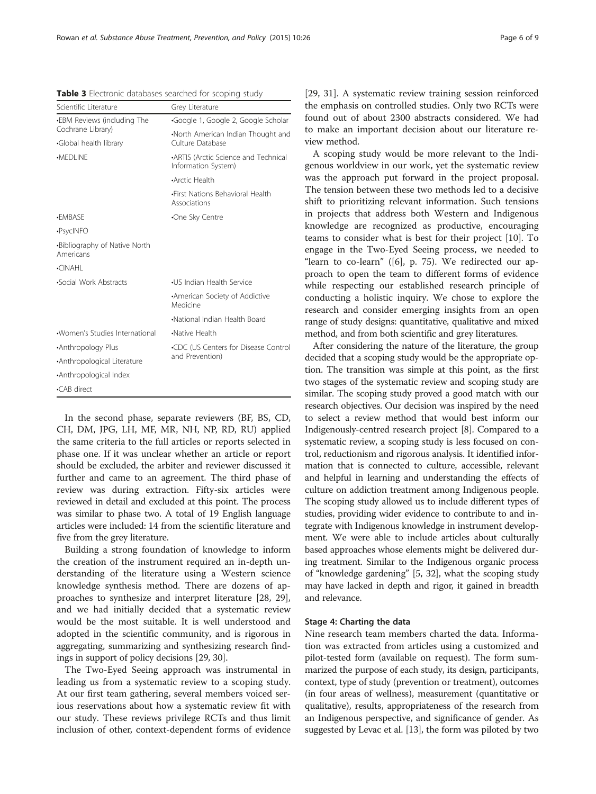In the second phase, separate reviewers (BF, BS, CD, CH, DM, JPG, LH, MF, MR, NH, NP, RD, RU) applied the same criteria to the full articles or reports selected in phase one. If it was unclear whether an article or report should be excluded, the arbiter and reviewer discussed it further and came to an agreement. The third phase of review was during extraction. Fifty-six articles were reviewed in detail and excluded at this point. The process was similar to phase two. A total of 19 English language articles were included: 14 from the scientific literature and five from the grey literature.

Building a strong foundation of knowledge to inform the creation of the instrument required an in-depth understanding of the literature using a Western science knowledge synthesis method. There are dozens of approaches to synthesize and interpret literature [\[28](#page-9-0), [29](#page-9-0)], and we had initially decided that a systematic review would be the most suitable. It is well understood and adopted in the scientific community, and is rigorous in aggregating, summarizing and synthesizing research findings in support of policy decisions [\[29](#page-9-0), [30](#page-9-0)].

The Two-Eyed Seeing approach was instrumental in leading us from a systematic review to a scoping study. At our first team gathering, several members voiced serious reservations about how a systematic review fit with our study. These reviews privilege RCTs and thus limit inclusion of other, context-dependent forms of evidence

[[29, 31](#page-9-0)]. A systematic review training session reinforced the emphasis on controlled studies. Only two RCTs were found out of about 2300 abstracts considered. We had to make an important decision about our literature review method.

A scoping study would be more relevant to the Indigenous worldview in our work, yet the systematic review was the approach put forward in the project proposal. The tension between these two methods led to a decisive shift to prioritizing relevant information. Such tensions in projects that address both Western and Indigenous knowledge are recognized as productive, encouraging teams to consider what is best for their project [\[10](#page-9-0)]. To engage in the Two-Eyed Seeing process, we needed to "learn to co-learn" ([[6\]](#page-9-0), p. 75). We redirected our approach to open the team to different forms of evidence while respecting our established research principle of conducting a holistic inquiry. We chose to explore the research and consider emerging insights from an open range of study designs: quantitative, qualitative and mixed method, and from both scientific and grey literatures.

After considering the nature of the literature, the group decided that a scoping study would be the appropriate option. The transition was simple at this point, as the first two stages of the systematic review and scoping study are similar. The scoping study proved a good match with our research objectives. Our decision was inspired by the need to select a review method that would best inform our Indigenously-centred research project [[8\]](#page-9-0). Compared to a systematic review, a scoping study is less focused on control, reductionism and rigorous analysis. It identified information that is connected to culture, accessible, relevant and helpful in learning and understanding the effects of culture on addiction treatment among Indigenous people. The scoping study allowed us to include different types of studies, providing wider evidence to contribute to and integrate with Indigenous knowledge in instrument development. We were able to include articles about culturally based approaches whose elements might be delivered during treatment. Similar to the Indigenous organic process of "knowledge gardening" [\[5](#page-9-0), [32](#page-9-0)], what the scoping study may have lacked in depth and rigor, it gained in breadth and relevance.

#### Stage 4: Charting the data

Nine research team members charted the data. Information was extracted from articles using a customized and pilot-tested form (available on request). The form summarized the purpose of each study, its design, participants, context, type of study (prevention or treatment), outcomes (in four areas of wellness), measurement (quantitative or qualitative), results, appropriateness of the research from an Indigenous perspective, and significance of gender. As suggested by Levac et al. [[13](#page-9-0)], the form was piloted by two

<span id="page-6-0"></span>Table 3 Electronic databases searched for scoping study

| Scientific Literature                      | Grey Literature                                             |  |
|--------------------------------------------|-------------------------------------------------------------|--|
| •EBM Reviews (including The                | Google 1, Google 2, Google Scholar                          |  |
| Cochrane Library)<br>Global health library | North American Indian Thought and<br>Culture Database       |  |
| ·MEDLINE                                   | •ARTIS (Arctic Science and Technical<br>Information System) |  |
|                                            | •Arctic Health                                              |  |
|                                            | •First Nations Behavioral Health<br>Associations            |  |
| <b>•FMBASF</b>                             | •One Sky Centre                                             |  |
| •PsycINFO                                  |                                                             |  |
| .Bibliography of Native North<br>Americans |                                                             |  |
| $\cdot$ CINAHI                             |                                                             |  |
| •Social Work Abstracts                     | •US Indian Health Service                                   |  |
|                                            | American Society of Addictive<br>Medicine                   |  |
|                                            | •National Indian Health Board                               |  |
| ·Women's Studies International             | •Native Health                                              |  |
| •Anthropology Plus                         | •CDC (US Centers for Disease Control<br>and Prevention)     |  |
| •Anthropological Literature                |                                                             |  |
| •Anthropological Index                     |                                                             |  |
| •CAB direct                                |                                                             |  |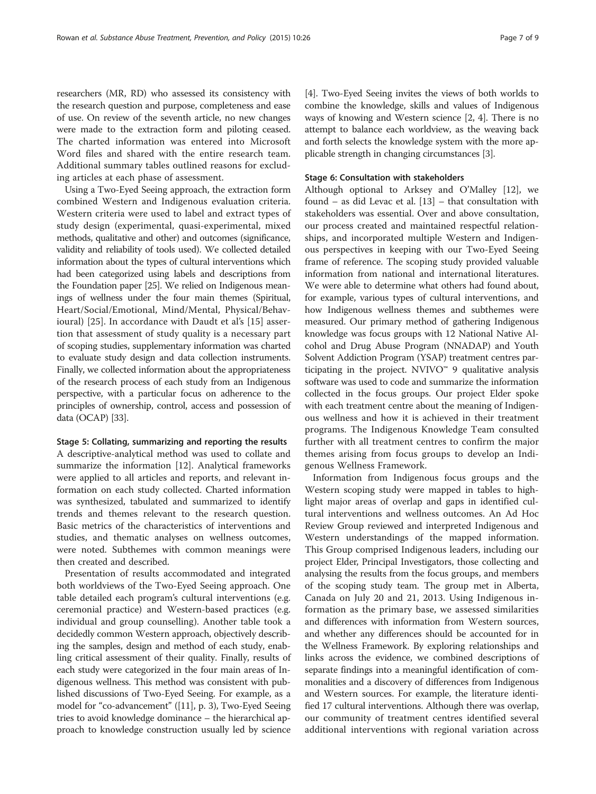researchers (MR, RD) who assessed its consistency with the research question and purpose, completeness and ease of use. On review of the seventh article, no new changes were made to the extraction form and piloting ceased. The charted information was entered into Microsoft Word files and shared with the entire research team. Additional summary tables outlined reasons for excluding articles at each phase of assessment.

Using a Two-Eyed Seeing approach, the extraction form combined Western and Indigenous evaluation criteria. Western criteria were used to label and extract types of study design (experimental, quasi-experimental, mixed methods, qualitative and other) and outcomes (significance, validity and reliability of tools used). We collected detailed information about the types of cultural interventions which had been categorized using labels and descriptions from the Foundation paper [[25\]](#page-9-0). We relied on Indigenous meanings of wellness under the four main themes (Spiritual, Heart/Social/Emotional, Mind/Mental, Physical/Behavioural) [\[25](#page-9-0)]. In accordance with Daudt et al's [\[15](#page-9-0)] assertion that assessment of study quality is a necessary part of scoping studies, supplementary information was charted to evaluate study design and data collection instruments. Finally, we collected information about the appropriateness of the research process of each study from an Indigenous perspective, with a particular focus on adherence to the principles of ownership, control, access and possession of data (OCAP) [\[33\]](#page-9-0).

#### Stage 5: Collating, summarizing and reporting the results

A descriptive-analytical method was used to collate and summarize the information [\[12](#page-9-0)]. Analytical frameworks were applied to all articles and reports, and relevant information on each study collected. Charted information was synthesized, tabulated and summarized to identify trends and themes relevant to the research question. Basic metrics of the characteristics of interventions and studies, and thematic analyses on wellness outcomes, were noted. Subthemes with common meanings were then created and described.

Presentation of results accommodated and integrated both worldviews of the Two-Eyed Seeing approach. One table detailed each program's cultural interventions (e.g. ceremonial practice) and Western-based practices (e.g. individual and group counselling). Another table took a decidedly common Western approach, objectively describing the samples, design and method of each study, enabling critical assessment of their quality. Finally, results of each study were categorized in the four main areas of Indigenous wellness. This method was consistent with published discussions of Two-Eyed Seeing. For example, as a model for "co-advancement" ([[11](#page-9-0)], p. 3), Two-Eyed Seeing tries to avoid knowledge dominance – the hierarchical approach to knowledge construction usually led by science [[4\]](#page-9-0). Two-Eyed Seeing invites the views of both worlds to combine the knowledge, skills and values of Indigenous ways of knowing and Western science [\[2](#page-9-0), [4\]](#page-9-0). There is no attempt to balance each worldview, as the weaving back and forth selects the knowledge system with the more applicable strength in changing circumstances [\[3](#page-9-0)].

#### Stage 6: Consultation with stakeholders

Although optional to Arksey and O'Malley [[12\]](#page-9-0), we found – as did Levac et al. [\[13\]](#page-9-0) – that consultation with stakeholders was essential. Over and above consultation, our process created and maintained respectful relationships, and incorporated multiple Western and Indigenous perspectives in keeping with our Two-Eyed Seeing frame of reference. The scoping study provided valuable information from national and international literatures. We were able to determine what others had found about, for example, various types of cultural interventions, and how Indigenous wellness themes and subthemes were measured. Our primary method of gathering Indigenous knowledge was focus groups with 12 National Native Alcohol and Drug Abuse Program (NNADAP) and Youth Solvent Addiction Program (YSAP) treatment centres participating in the project. NVIVO<sup> $M$ </sup> 9 qualitative analysis software was used to code and summarize the information collected in the focus groups. Our project Elder spoke with each treatment centre about the meaning of Indigenous wellness and how it is achieved in their treatment programs. The Indigenous Knowledge Team consulted further with all treatment centres to confirm the major themes arising from focus groups to develop an Indigenous Wellness Framework.

Information from Indigenous focus groups and the Western scoping study were mapped in tables to highlight major areas of overlap and gaps in identified cultural interventions and wellness outcomes. An Ad Hoc Review Group reviewed and interpreted Indigenous and Western understandings of the mapped information. This Group comprised Indigenous leaders, including our project Elder, Principal Investigators, those collecting and analysing the results from the focus groups, and members of the scoping study team. The group met in Alberta, Canada on July 20 and 21, 2013. Using Indigenous information as the primary base, we assessed similarities and differences with information from Western sources, and whether any differences should be accounted for in the Wellness Framework. By exploring relationships and links across the evidence, we combined descriptions of separate findings into a meaningful identification of commonalities and a discovery of differences from Indigenous and Western sources. For example, the literature identified 17 cultural interventions. Although there was overlap, our community of treatment centres identified several additional interventions with regional variation across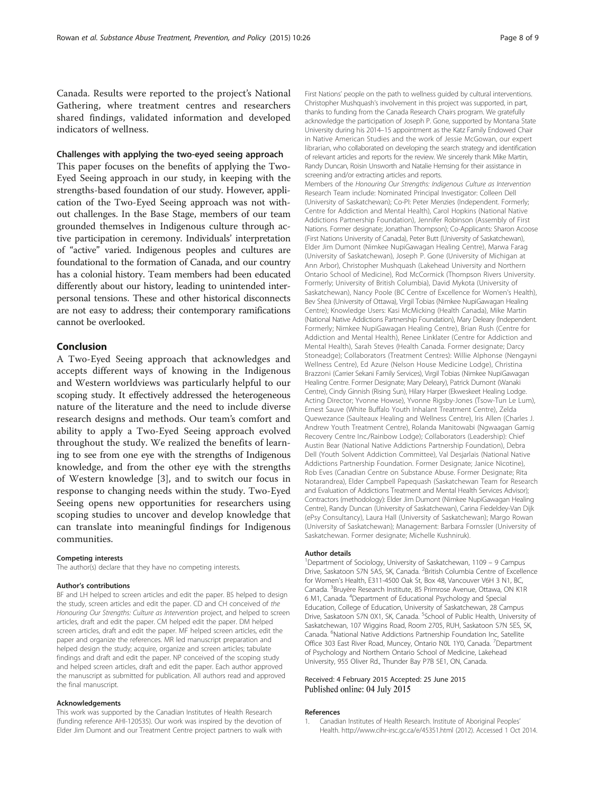<span id="page-8-0"></span>Canada. Results were reported to the project's National Gathering, where treatment centres and researchers shared findings, validated information and developed indicators of wellness.

#### Challenges with applying the two-eyed seeing approach

This paper focuses on the benefits of applying the Two-Eyed Seeing approach in our study, in keeping with the strengths-based foundation of our study. However, application of the Two-Eyed Seeing approach was not without challenges. In the Base Stage, members of our team grounded themselves in Indigenous culture through active participation in ceremony. Individuals' interpretation of "active" varied. Indigenous peoples and cultures are foundational to the formation of Canada, and our country has a colonial history. Team members had been educated differently about our history, leading to unintended interpersonal tensions. These and other historical disconnects are not easy to address; their contemporary ramifications cannot be overlooked.

#### Conclusion

A Two-Eyed Seeing approach that acknowledges and accepts different ways of knowing in the Indigenous and Western worldviews was particularly helpful to our scoping study. It effectively addressed the heterogeneous nature of the literature and the need to include diverse research designs and methods. Our team's comfort and ability to apply a Two-Eyed Seeing approach evolved throughout the study. We realized the benefits of learning to see from one eye with the strengths of Indigenous knowledge, and from the other eye with the strengths of Western knowledge [\[3](#page-9-0)], and to switch our focus in response to changing needs within the study. Two-Eyed Seeing opens new opportunities for researchers using scoping studies to uncover and develop knowledge that can translate into meaningful findings for Indigenous communities.

#### Competing interests

The author(s) declare that they have no competing interests.

#### Author's contributions

BF and LH helped to screen articles and edit the paper. BS helped to design the study, screen articles and edit the paper. CD and CH conceived of the Honouring Our Strengths: Culture as Intervention project, and helped to screen articles, draft and edit the paper. CM helped edit the paper. DM helped screen articles, draft and edit the paper. MF helped screen articles, edit the paper and organize the references. MR led manuscript preparation and helped design the study; acquire, organize and screen articles; tabulate findings and draft and edit the paper. NP conceived of the scoping study and helped screen articles, draft and edit the paper. Each author approved the manuscript as submitted for publication. All authors read and approved the final manuscript.

#### Acknowledgements

This work was supported by the Canadian Institutes of Health Research (funding reference AHI-120535). Our work was inspired by the devotion of Elder Jim Dumont and our Treatment Centre project partners to walk with First Nations' people on the path to wellness guided by cultural interventions. Christopher Mushquash's involvement in this project was supported, in part, thanks to funding from the Canada Research Chairs program. We gratefully acknowledge the participation of Joseph P. Gone, supported by Montana State University during his 2014–15 appointment as the Katz Family Endowed Chair in Native American Studies and the work of Jessie McGowan, our expert librarian, who collaborated on developing the search strategy and identification of relevant articles and reports for the review. We sincerely thank Mike Martin, Randy Duncan, Roisin Unsworth and Natalie Hemsing for their assistance in screening and/or extracting articles and reports.

Members of the Honouring Our Strengths: Indigenous Culture as Intervention Research Team include: Nominated Principal Investigator: Colleen Dell (University of Saskatchewan); Co-PI: Peter Menzies (Independent. Formerly; Centre for Addiction and Mental Health), Carol Hopkins (National Native Addictions Partnership Foundation), Jennifer Robinson (Assembly of First Nations. Former designate; Jonathan Thompson); Co-Applicants: Sharon Acoose (First Nations University of Canada), Peter Butt (University of Saskatchewan), Elder Jim Dumont (Nimkee NupiGawagan Healing Centre), Marwa Farag (University of Saskatchewan), Joseph P. Gone (University of Michigan at Ann Arbor), Christopher Mushquash (Lakehead University and Northern Ontario School of Medicine), Rod McCormick (Thompson Rivers University. Formerly; University of British Columbia), David Mykota (University of Saskatchewan), Nancy Poole (BC Centre of Excellence for Women's Health), Bev Shea (University of Ottawa), Virgil Tobias (Nimkee NupiGawagan Healing Centre); Knowledge Users: Kasi McMicking (Health Canada), Mike Martin (National Native Addictions Partnership Foundation), Mary Deleary (Independent. Formerly; Nimkee NupiGawagan Healing Centre), Brian Rush (Centre for Addiction and Mental Health), Renee Linklater (Centre for Addiction and Mental Health), Sarah Steves (Health Canada. Former designate; Darcy Stoneadge); Collaborators (Treatment Centres): Willie Alphonse (Nengayni Wellness Centre), Ed Azure (Nelson House Medicine Lodge), Christina Brazzoni (Carrier Sekani Family Services), Virgil Tobias (Nimkee NupiGawagan Healing Centre. Former Designate; Mary Deleary), Patrick Dumont (Wanaki Centre), Cindy Ginnish (Rising Sun), Hilary Harper (Ekweskeet Healing Lodge. Acting Director; Yvonne Howse), Yvonne Rigsby-Jones (Tsow-Tun Le Lum), Ernest Sauve (White Buffalo Youth Inhalant Treatment Centre), Zelda Quewezance (Saulteaux Healing and Wellness Centre), Iris Allen (Charles J. Andrew Youth Treatment Centre), Rolanda Manitowabi (Ngwaagan Gamig Recovery Centre Inc./Rainbow Lodge); Collaborators (Leadership): Chief Austin Bear (National Native Addictions Partnership Foundation), Debra Dell (Youth Solvent Addiction Committee), Val Desjarlais (National Native Addictions Partnership Foundation. Former Designate; Janice Nicotine), Rob Eves (Canadian Centre on Substance Abuse. Former Designate; Rita Notarandrea), Elder Campbell Papequash (Saskatchewan Team for Research and Evaluation of Addictions Treatment and Mental Health Services Advisor); Contractors (methodology): Elder Jim Dumont (Nimkee NupiGawagan Healing Centre), Randy Duncan (University of Saskatchewan), Carina Fiedeldey-Van Dijk (ePsy Consultancy), Laura Hall (University of Saskatchewan); Margo Rowan (University of Saskatchewan); Management: Barbara Fornssler (University of Saskatchewan. Former designate; Michelle Kushniruk).

#### Author details

<sup>1</sup>Department of Sociology, University of Saskatchewan, 1109 - 9 Campus Drive, Saskatoon S7N 5A5, SK, Canada. <sup>2</sup>British Columbia Centre of Excellence for Women's Health, E311-4500 Oak St, Box 48, Vancouver V6H 3 N1, BC, Canada. <sup>3</sup> Bruyère Research Institute, 85 Primrose Avenue, Ottawa, ON K1R 6 M1, Canada. <sup>4</sup> Department of Educational Psychology and Special Education, College of Education, University of Saskatchewan, 28 Campus Drive, Saskatoon S7N 0X1, SK, Canada. <sup>5</sup>School of Public Health, University of Saskatchewan, 107 Wiggins Road, Room 2705, RUH, Saskatoon S7N 5ES, SK, Canada. <sup>6</sup>National Native Addictions Partnership Foundation Inc, Satellite Office 303 East River Road, Muncey, Ontario N0L 1Y0, Canada. <sup>7</sup>Department of Psychology and Northern Ontario School of Medicine, Lakehead University, 955 Oliver Rd., Thunder Bay P7B 5E1, ON, Canada.

#### Received: 4 February 2015 Accepted: 25 June 2015 Published online: 04 July 2015

#### References

1. Canadian Institutes of Health Research. Institute of Aboriginal Peoples' Health.<http://www.cihr-irsc.gc.ca/e/45351.html> (2012). Accessed 1 Oct 2014.